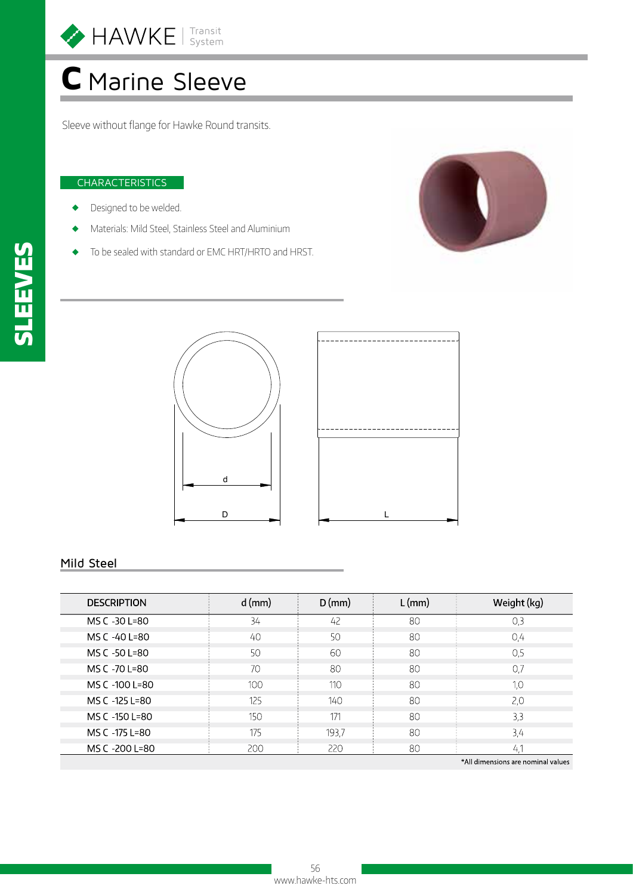

# C Marine Sleeve

Sleeve without flange for Hawke Round transits.

#### **CHARACTERISTICS**

- Designed to be welded.
- Materials: Mild Steel, Stainless Steel and Aluminium
- To be sealed with standard or EMC HRT/HRTO and HRST.





#### Mild Steel

| <b>DESCRIPTION</b> | $d$ (mm) | $D$ (mm) | $L$ (mm) | Weight (kg) |
|--------------------|----------|----------|----------|-------------|
| MS C -30 L=80      | 34       | 42       | 80       | 0,3         |
| MS C -40 L=80      | 40       | 50       | 80       | 0,4         |
| MS C -50 L=80      | 50       | 60       | 80       | 0,5         |
| MS C -70 L=80      | 70       | 80       | 80       | 0.7         |
| MS C -100 L=80     | 100      | 110      | 80       | 1.0         |
| MS C -125 L=80     | 125      | 140      | 80       | 2,0         |
| MS C -150 L=80     | 150      | 171      | 80       | 3,3         |
| MS C -175 L=80     | 175      | 193,7    | 80       | 3,4         |
| MS C -200 L=80     | 200      | 220      | 80       | -41         |

All dimensions are nominal values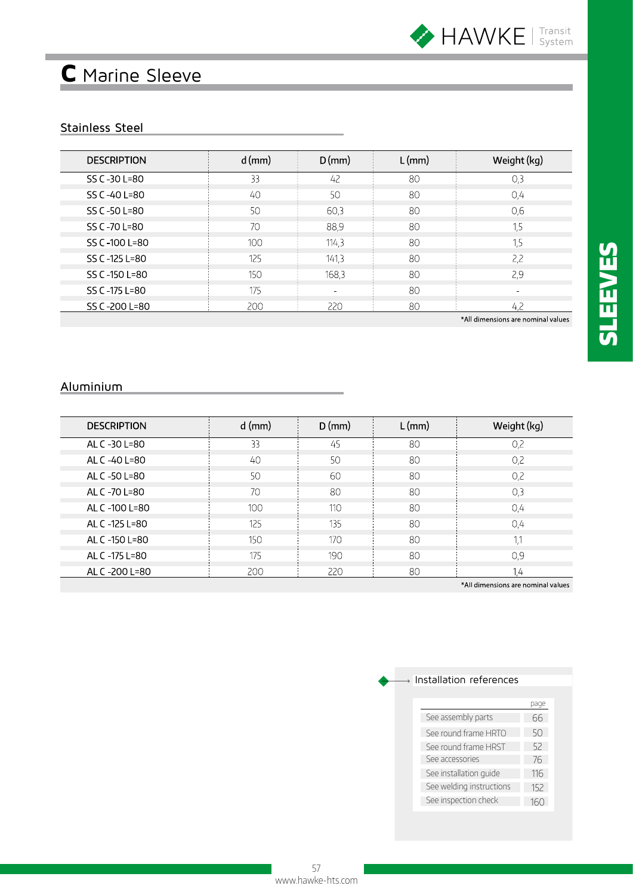

## C Marine Sleeve

### Stainless Steel

| <b>DESCRIPTION</b> | $d$ (mm) | $D$ (mm) | $L$ (mm) | Weight (kg) |
|--------------------|----------|----------|----------|-------------|
| SS C-30 L=80       | 33       | 42       | 80       | 0,3         |
| SS C -40 L=80      | 40       | 50       | 80       | 0,4         |
| SS C -50 L=80      | 50       | 60,3     | 80       | 0,6         |
| SS C -70 L=80      | 70       | 88,9     | 80       | 1,5         |
| SS C-100 L=80      | 100      | 114,3    | 80       | 1.5         |
| SS C -125 L=80     | 125      | 141,3    | 80       | 2.2         |
| SS C -150 L=80     | 150      | 168,3    | 80       | 2,9         |
| SS C -175 L=80     | 175      | $\sim$   | 80       |             |
| SS C-200 L=80      | 200      | 220      | 80       | 42          |

\*All dimensions are nominal values

| <b>DESCRIPTION</b> | $d$ (mm) | $D$ (mm) | $L$ (mm) | Weight (kg)                                   |
|--------------------|----------|----------|----------|-----------------------------------------------|
| AL C -30 L=80      | 33       | 45       | 80       | 0.2                                           |
| AL C -40 L=80      | 40       | 50       | 80       | 0,2                                           |
| AL C -50 L=80      | 50       | 60       | 80       | 0,2                                           |
| AL C -70 L=80      | 70       | 80       | 80       | 0.3                                           |
| AL C -100 L=80     | 100      | 110      | 80       | 0.4                                           |
| AL C -125 L=80     | 125      | 135      | 80       | 0,4                                           |
| AL C -150 L=80     | 150      | 170      | 80       |                                               |
| AL C -175 L=80     | 175      | 190      | 80       | 0.9                                           |
| AL C -200 L=80     | 200      | 220      | 80       | 1.4                                           |
|                    |          |          |          | <b>XAII</b> discontrato con que inclusivado e |

\*All dimensions are nominal values

| See assembly parts       | 66  |
|--------------------------|-----|
| See round frame HRTO     | 50  |
| See round frame HRST     | 52  |
| See accessories          | 76  |
| See installation quide   | 116 |
| See welding instructions | 152 |
| See inspection check     | 160 |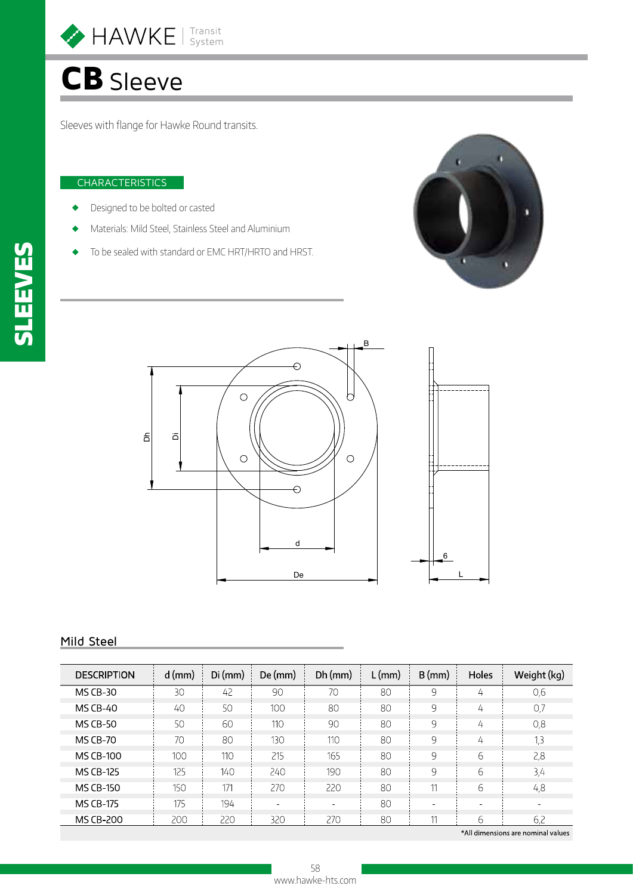

# CB Sleeve

Sleeves with flange for Hawke Round transits.

#### CHARACTERISTICS

- Designed to be bolted or casted
- Materials: Mild Steel, Stainless Steel and Aluminium
- To be sealed with standard or EMC HRT/HRTO and HRST.





#### Mild Steel

| <b>DESCRIPTION</b> | $d$ (mm) | $Di$ (mm) | De (mm) | $Dh$ (mm) | $L$ (mm) | $B$ (mm) | Holes | Weight (kg) |
|--------------------|----------|-----------|---------|-----------|----------|----------|-------|-------------|
| <b>MS CB-30</b>    | 30       | 42        | 90      | 70        | 80       | 9        | 4     | 0,6         |
| <b>MS CB-40</b>    | 40       | 50        | 100     | 80        | 80       | 9        | 4     | 0,7         |
| <b>MS CB-50</b>    | 50       | 60        | 110     | 90        | 80       | 9        | 4     | 0,8         |
| <b>MS CB-70</b>    | 70       | 80        | 130     | 110       | 80       | 9        | 4     | 1,3         |
| <b>MS CB-100</b>   | 100      | 110       | 215     | 165       | 80       | 9        | 6     | 2,8         |
| <b>MS CB-125</b>   | 125      | 140       | 240     | 190       | 80       | 9        | 6     | 3,4         |
| <b>MS CB-150</b>   | 150      | 171       | 270     | 220       | 80       |          | 6     | 4,8         |
| <b>MS CB-175</b>   | 175      | 194       | $\sim$  |           | 80       | $\sim$   |       |             |
| <b>MS CB-200</b>   | 200      | 220       | 320     | 270       | 80       | 11       | ь     | 6,2         |

\*All dimensions are nominal values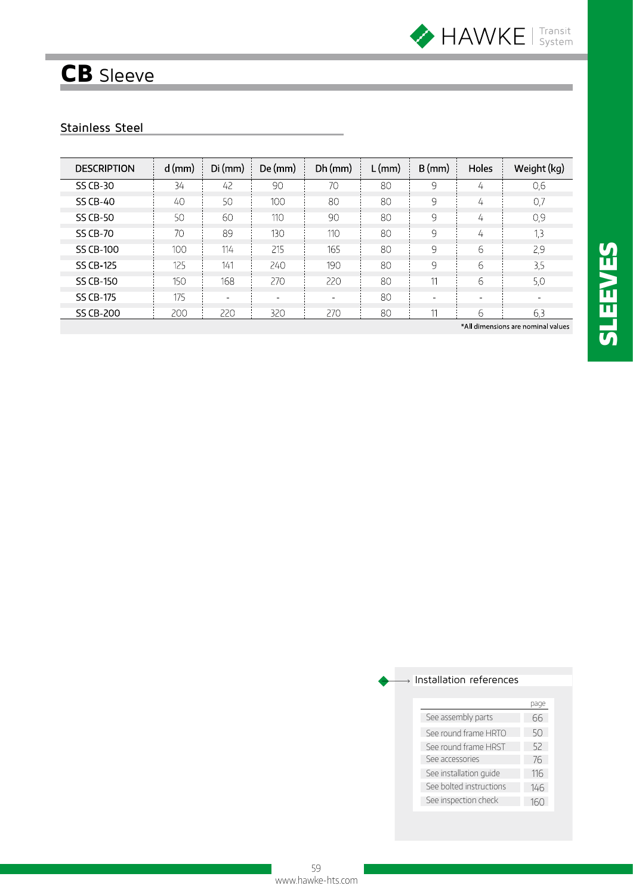

## CB Sleeve

## Stainless Steel

| <b>DESCRIPTION</b> | $d$ (mm) | $Di$ (mm) | De (mm) | $Dh$ (mm) | $L$ (mm) | $B$ (mm) | Holes                    | Weight (kg) |
|--------------------|----------|-----------|---------|-----------|----------|----------|--------------------------|-------------|
| SS CB-30           | 34       | 42        | 90      | 70        | 80       | 9        | 4                        | 0,6         |
| <b>SS CB-40</b>    | 40       | 50        | 100     | 80        | 80       | 9        | 4                        | 0,7         |
| <b>SS CB-50</b>    | 50       | 60        | 110     | 90        | 80       | 9        | 4                        | 0,9         |
| <b>SS CB-70</b>    | 70       | 89        | 130     | 110       | 80       | 9        | 4                        | 1,3         |
| <b>SS CB-100</b>   | 100      | 114       | 215     | 165       | 80       | 9        | 6                        | 2,9         |
| SS CB-125          | 125      | 141       | 240     | 190       | 80       | 9        | 6                        | 3,5         |
| <b>SS CB-150</b>   | 150      | 168       | 270     | 220       | 80       |          | 6                        | 5,0         |
| SS CB-175          | 175      | $\sim$    | $\sim$  | $\sim$    | 80       | $\sim$   | $\overline{\phantom{0}}$ | $\sim$      |
| SS CB-200          | 200      | 220       | 320     | 270       | 80       |          | 6                        | 6,3         |

\*All dimensions are nominal values

| See assembly parts      | 66  |
|-------------------------|-----|
| See round frame HRTO    | 50  |
| See round frame HRST    | 52  |
| See accessories         | 76  |
| See installation quide  | 116 |
| See bolted instructions | 146 |
| See inspection check    |     |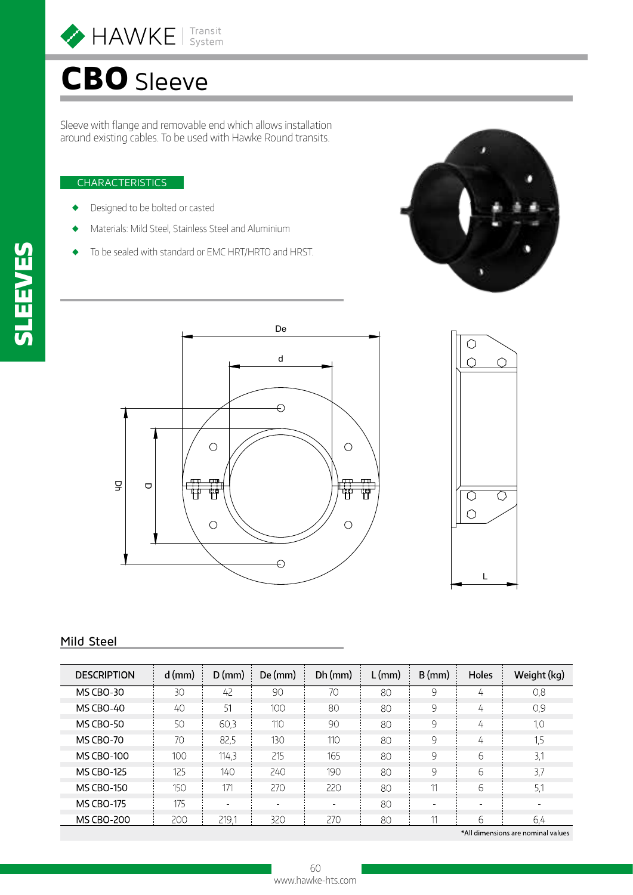

# CBO Sleeve

Sleeve with flange and removable end which allows installation around existing cables. To be used with Hawke Round transits.

#### **CHARACTERISTICS**

- Designed to be bolted or casted
- Materials: Mild Steel, Stainless Steel and Aluminium
- To be sealed with standard or EMC HRT/HRTO and HRST.







#### Mild Steel

| <b>DESCRIPTION</b> | $d$ (mm) | $D$ (mm) | De (mm) | $Dh$ (mm) | $L$ (mm) | $B$ (mm) | Holes    | Weight (kg) |
|--------------------|----------|----------|---------|-----------|----------|----------|----------|-------------|
| <b>MS CBO-30</b>   | 30       | 42       | 90      | 70        | 80       | 9        | 4        | 0,8         |
| <b>MS CBO-40</b>   | 40       | -51      | 100     | 80        | 80       | 9        | 4        | 0,9         |
| <b>MS CBO-50</b>   | 50       | 60,3     | 110     | 90        | 80       | 9        | 4        | 1,0         |
| <b>MS CBO-70</b>   | 70       | 82,5     | 130     | 110       | 80       | 9        | 4        | 1,5         |
| <b>MS CBO-100</b>  | 100      | 114,3    | 215     | 165       | 80       | 9        | 6        | 3,1         |
| <b>MS CBO-125</b>  | 125      | 140      | 240     | 190       | 80       | 9        | 6        | 3,7         |
| <b>MS CBO-150</b>  | 150      | 171      | 270     | 220       | 80       | 11       | 6        | 5,1         |
| <b>MS CBO-175</b>  | 175      | $\sim$   | $\sim$  |           | 80       | $\sim$   | $\equiv$ |             |
| <b>MS CBO-200</b>  | 200      | 219.1    | 320     | 270       | 80       | 11       | 6        | 6,4         |

\*All dimensions are nominal values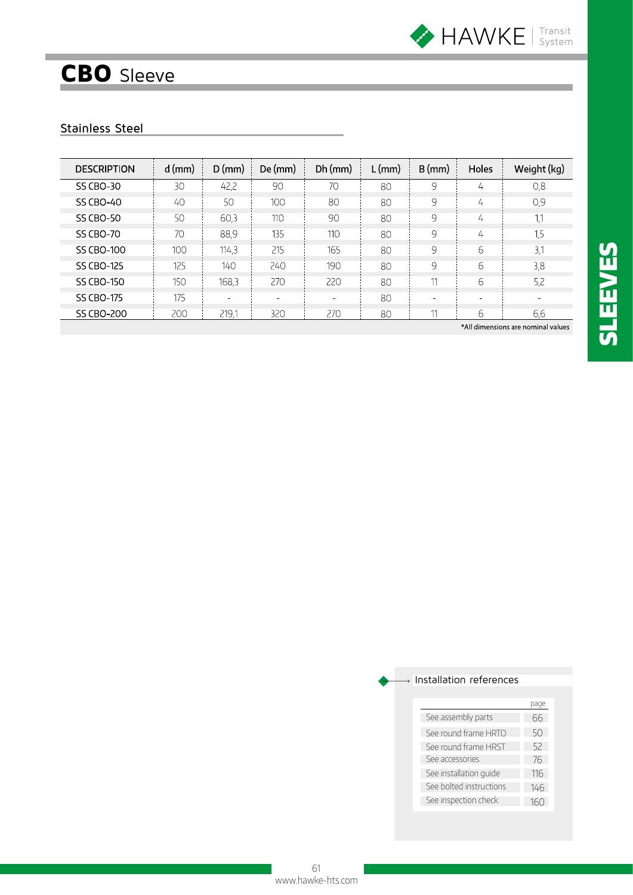

# CBO Sleeve

### Stainless Steel

| <b>DESCRIPTION</b> | $d$ (mm) | $D$ (mm) | De (mm) | $Dh$ (mm) | $L$ (mm) | $B$ (mm) | <b>Holes</b> | Weight (kg) |
|--------------------|----------|----------|---------|-----------|----------|----------|--------------|-------------|
| <b>SS CBO-30</b>   | 30       | 42,2     | 90      | 70        | 80       | 9        | 4            | 0,8         |
| <b>SS CBO-40</b>   | 40       | 50       | 100     | 80        | 80       | 9        | 4            | 0,9         |
| <b>SS CBO-50</b>   | 50       | 60,3     | 110     | 90        | 80       | 9        | 4            | 1,1         |
| <b>SS CBO-70</b>   | 70       | 88,9     | 135     | 110       | 80       | 9        | 4            | 1,5         |
| <b>SS CBO-100</b>  | 100      | 114,3    | 215     | 165       | 80       | 9        | 6            | 3,1         |
| SS CBO-125         | 125      | 140      | 240     | 190       | 80       | 9        | 6            | 3,8         |
| <b>SS CBO-150</b>  | 150      | 168,3    | 270     | 220       | 80       |          | 6            | 5,2         |
| <b>SS CBO-175</b>  | 175      | $\sim$   | $\sim$  | $\equiv$  | 80       | $\equiv$ |              | $\sim$      |
| SS CBO-200         | 200      | 219.1    | 320     | 270       | 80       |          | 6            | 6,6         |

\*All dimensions are nominal values

|                         | Dage |
|-------------------------|------|
| See assembly parts      | 66   |
| See round frame HRTO    | 50   |
| See round frame HRST    | 52   |
| See accessories         | 76   |
| See installation quide  | 116  |
| See bolted instructions | 146  |
| See inspection check    | 16 N |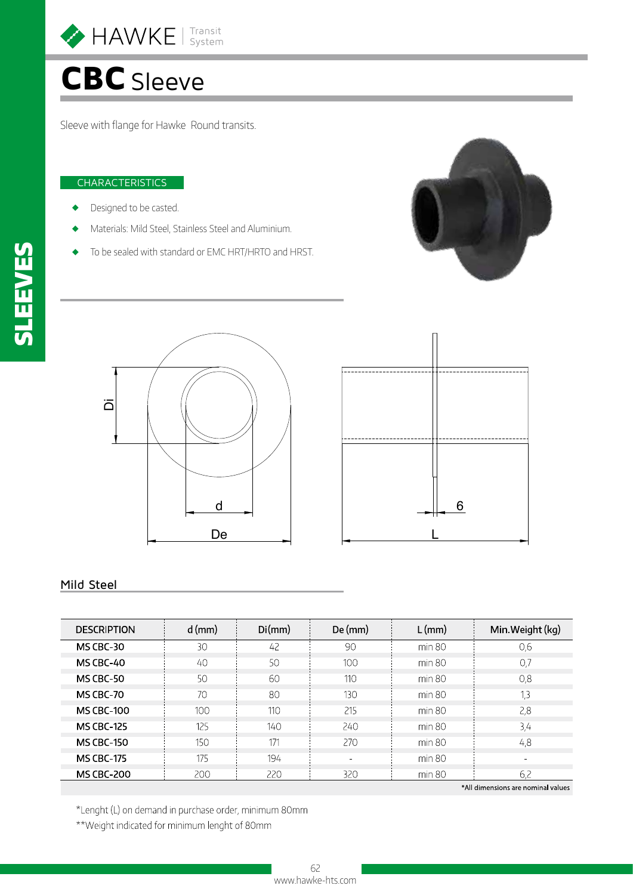

# CBC Sleeve

Sleeve with flange for Hawke Round transits.

#### **CHARACTERISTICS**

- Designed to be casted.
- Materials: Mild Steel, Stainless Steel and Aluminium.
- To be sealed with standard or EMC HRT/HRTO and HRST.







#### Mild Steel

| <b>DESCRIPTION</b> | $d$ (mm) | Di(mm) | $De$ (mm)                    | $L$ (mm) | Min. Weight (kg)                   |
|--------------------|----------|--------|------------------------------|----------|------------------------------------|
| MS CBC-30          | 30       | 42     | 90                           | min 80   | 0,6                                |
| MS CBC-40          | 40       | 50     | 100                          | min 80   | 0.7                                |
| <b>MS CBC-50</b>   | 50       | 60     | 110                          | min 80   | 0,8                                |
| MS CBC-70          | 70       | 80     | 130                          | min 80   | 1,3                                |
| <b>MS CBC-100</b>  | 100      | 110    | 215                          | min 80   | 2,8                                |
| <b>MS CBC-125</b>  | 125      | 140    | 240                          | min 80   | 3,4                                |
| <b>MS CBC-150</b>  | 150      | 171    | 270                          | min 80   | 4,8                                |
| <b>MS CBC-175</b>  | 175      | 194    | $\qquad \qquad \blacksquare$ | min 80   |                                    |
| <b>MS CBC-200</b>  | 200      | 220    | 320                          | min 80   | 6,2                                |
|                    |          |        |                              |          | *All dimensions are nominal values |

\*Lenght (L) on demand in purchase order, minimum 80mm

\*\*Weight indicated for minimum lenght of 80mm